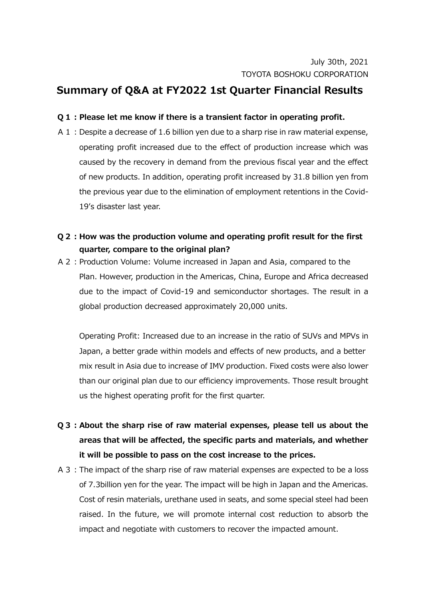## **Summary of Q&A at FY2022 1st Quarter Financial Results**

## **Q1:Please let me know if there is a transient factor in operating profit.**

- A1:Despite a decrease of 1.6 billion yen due to a sharp rise in raw material expense, operating profit increased due to the effect of production increase which was caused by the recovery in demand from the previous fiscal year and the effect of new products. In addition, operating profit increased by 31.8 billion yen from the previous year due to the elimination of employment retentions in the Covid-19's disaster last year.
- **Q2:How was the production volume and operating profit result for the first quarter, compare to the original plan?**
- A2:Production Volume: Volume increased in Japan and Asia, compared to the Plan. However, production in the Americas, China, Europe and Africa decreased due to the impact of Covid-19 and semiconductor shortages. The result in a global production decreased approximately 20,000 units.

Operating Profit: Increased due to an increase in the ratio of SUVs and MPVs in Japan, a better grade within models and effects of new products, and a better mix result in Asia due to increase of IMV production. Fixed costs were also lower than our original plan due to our efficiency improvements. Those result brought us the highest operating profit for the first quarter.

- **Q3:About the sharp rise of raw material expenses, please tell us about the areas that will be affected, the specific parts and materials, and whether it will be possible to pass on the cost increase to the prices.**
- A3:The impact of the sharp rise of raw material expenses are expected to be a loss of 7.3billion yen for the year. The impact will be high in Japan and the Americas. Cost of resin materials, urethane used in seats, and some special steel had been raised. In the future, we will promote internal cost reduction to absorb the impact and negotiate with customers to recover the impacted amount.